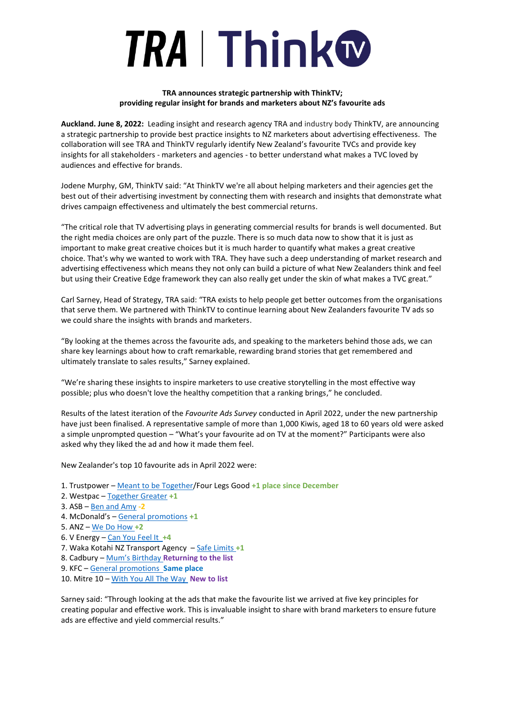## **TRA | Thinkw**

## **TRA announces strategic partnership with ThinkTV; providing regular insight for brands and marketers about NZ's favourite ads**

**Auckland. June 8, 2022:** Leading insight and research agency TRA and industry body ThinkTV, are announcing a strategic partnership to provide best practice insights to NZ marketers about advertising effectiveness. The collaboration will see TRA and ThinkTV regularly identify New Zealand's favourite TVCs and provide key insights for all stakeholders - marketers and agencies - to better understand what makes a TVC loved by audiences and effective for brands.

Jodene Murphy, GM, ThinkTV said: "At ThinkTV we're all about helping marketers and their agencies get the best out of their advertising investment by connecting them with research and insights that demonstrate what drives campaign effectiveness and ultimately the best commercial returns.

"The critical role that TV advertising plays in generating commercial results for brands is well documented. But the right media choices are only part of the puzzle. There is so much data now to show that it is just as important to make great creative choices but it is much harder to quantify what makes a great creative choice. That's why we wanted to work with TRA. They have such a deep understanding of market research and advertising effectiveness which means they not only can build a picture of what New Zealanders think and feel but using their Creative Edge framework they can also really get under the skin of what makes a TVC great."

Carl Sarney, Head of Strategy, TRA said: "TRA exists to help people get better outcomes from the organisations that serve them. We partnered with ThinkTV to continue learning about New Zealanders favourite TV ads so we could share the insights with brands and marketers.

"By looking at the themes across the favourite ads, and speaking to the marketers behind those ads, we can share key learnings about how to craft remarkable, rewarding brand stories that get remembered and ultimately translate to sales results," Sarney explained.

"We're sharing these insights to inspire marketers to use creative storytelling in the most effective way possible; plus who doesn't love the healthy competition that a ranking brings," he concluded.

Results of the latest iteration of the *Favourite Ads Survey* conducted in April 2022, under the new partnership have just been finalised. A representative sample of more than 1,000 Kiwis, aged 18 to 60 years old were asked a simple unprompted question – "What's your favourite ad on TV at the moment?" Participants were also asked why they liked the ad and how it made them feel.

New Zealander's top 10 favourite ads in April 2022 were:

- 1. Trustpower [Meant to be Together/](https://www.youtube.com/watch?v=BQ3Q9SJDgsE)Four Legs Good **+1 place since December**
- 2. Westpac [Together Greater](https://www.youtube.com/watch?v=6QWkZKpEtkI) **+1**
- 3. ASB [Ben and Amy](https://www.youtube.com/watch?v=BJDM8uISi3k) **-2**
- 4. McDonald's [General promotions](https://www.youtube.com/watch?v=SSV9CQoOfsU) **+1**
- 5. ANZ [We Do How](https://www.youtube.com/watch?v=ujC8R1aTWZk) **+2**
- 6. V Energy [Can You Feel It](https://www.youtube.com/watch?v=MxWIfmce690) **+4**
- 7. Waka Kotahi NZ Transport Agency [Safe Limits](https://www.youtube.com/watch?v=412e9HHorLc) **+1**
- 8. Cadbury [Mum's Birthday](https://www.youtube.com/watch?v=TfMt3HN8tuY) **Returning to the list**
- 9. KFC [General promotions](https://www.youtube.com/watch?v=EOFE1xdMRuE) **Same place**
- 10. Mitre 10 [With You All The Way](https://www.youtube.com/watch?v=Te7uOLtB--s) **New to list**

Sarney said: "Through looking at the ads that make the favourite list we arrived at five key principles for creating popular and effective work. This is invaluable insight to share with brand marketers to ensure future ads are effective and yield commercial results."